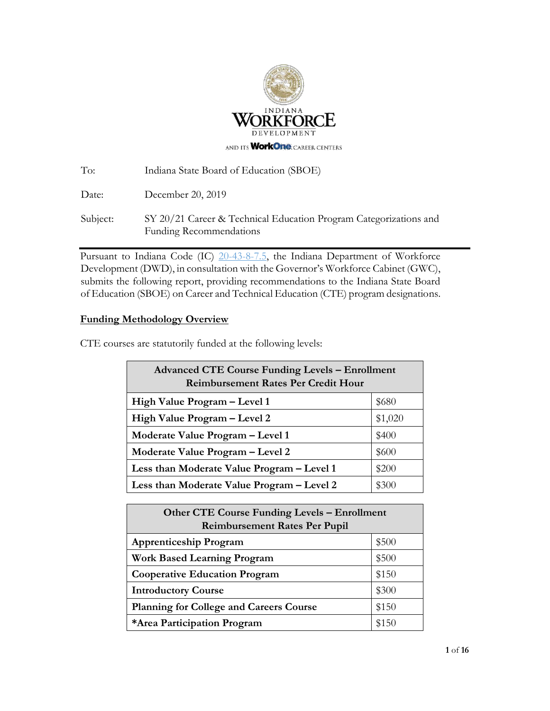

| To:      | Indiana State Board of Education (SBOE)                                                             |
|----------|-----------------------------------------------------------------------------------------------------|
| Date:    | December 20, 2019                                                                                   |
| Subject: | SY 20/21 Career & Technical Education Program Categorizations and<br><b>Funding Recommendations</b> |

Pursuant to Indiana Code [\(IC\) 20-43-8-7.5,](http://iga.in.gov/legislative/laws/2017/ic/titles/020#20-43-8) the Indiana Department of Workforce Development (DWD), in consultation with the Governor's Workforce Cabinet (GWC), submits the following report, providing recommendations to the Indiana State Board of Education (SBOE) on Career and Technical Education (CTE) program designations.

### **Funding Methodology Overview**

CTE courses are statutorily funded at the following levels:

| <b>Advanced CTE Course Funding Levels - Enrollment</b><br><b>Reimbursement Rates Per Credit Hour</b> |         |  |  |  |  |
|------------------------------------------------------------------------------------------------------|---------|--|--|--|--|
| High Value Program – Level 1                                                                         | \$680   |  |  |  |  |
| High Value Program - Level 2                                                                         | \$1,020 |  |  |  |  |
| Moderate Value Program - Level 1                                                                     | \$400   |  |  |  |  |
| Moderate Value Program - Level 2                                                                     | \$600   |  |  |  |  |
| Less than Moderate Value Program - Level 1                                                           | \$200   |  |  |  |  |
| Less than Moderate Value Program – Level 2                                                           | \$300   |  |  |  |  |

| <b>Other CTE Course Funding Levels - Enrollment</b><br><b>Reimbursement Rates Per Pupil</b> |       |  |  |  |
|---------------------------------------------------------------------------------------------|-------|--|--|--|
| <b>Apprenticeship Program</b>                                                               | \$500 |  |  |  |
| <b>Work Based Learning Program</b>                                                          | \$500 |  |  |  |
| <b>Cooperative Education Program</b>                                                        | \$150 |  |  |  |
| <b>Introductory Course</b>                                                                  | \$300 |  |  |  |
| <b>Planning for College and Careers Course</b>                                              | \$150 |  |  |  |
| *Area Participation Program                                                                 | \$150 |  |  |  |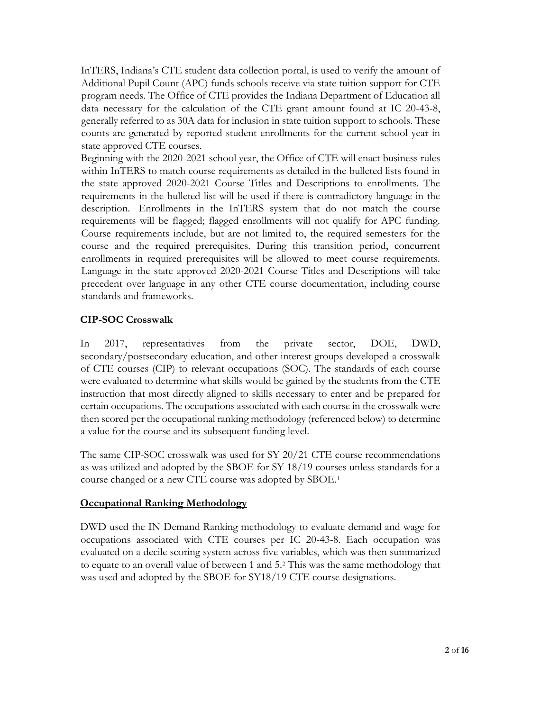InTERS, Indiana's CTE student data collection portal, is used to verify the amount of Additional Pupil Count (APC) funds schools receive via state tuition support for CTE program needs. The Office of CTE provides the Indiana Department of Education all data necessary for the calculation of the CTE grant amount found at IC 20-43-8, generally referred to as 30A data for inclusion in state tuition support to schools. These counts are generated by reported student enrollments for the current school year in state approved CTE courses.

Beginning with the 2020-2021 school year, the Office of CTE will enact business rules within InTERS to match course requirements as detailed in the bulleted lists found in the state approved 2020-2021 Course Titles and Descriptions to enrollments. The requirements in the bulleted list will be used if there is contradictory language in the description. Enrollments in the InTERS system that do not match the course requirements will be flagged; flagged enrollments will not qualify for APC funding. Course requirements include, but are not limited to, the required semesters for the course and the required prerequisites. During this transition period, concurrent enrollments in required prerequisites will be allowed to meet course requirements. Language in the state approved 2020-2021 Course Titles and Descriptions will take precedent over language in any other CTE course documentation, including course standards and frameworks.

## **CIP-SOC Crosswalk**

In 2017, representatives from the private sector, DOE, DWD, secondary/postsecondary education, and other interest groups developed a crosswalk of CTE courses (CIP) to relevant occupations (SOC). The standards of each course were evaluated to determine what skills would be gained by the students from the CTE instruction that most directly aligned to skills necessary to enter and be prepared for certain occupations. The occupations associated with each course in the crosswalk were then scored per the occupational ranking methodology (referenced below) to determine a value for the course and its subsequent funding level.

The same CIP-SOC crosswalk was used for SY 20/21 CTE course recommendations as was utilized and adopted by the SBOE for SY 18/19 courses unless standards for a course changed or a new CTE course was adopted by SBOE.<sup>1</sup>

### **Occupational Ranking Methodology**

DWD used the IN Demand Ranking methodology to evaluate demand and wage for occupations associated with CTE courses per IC 20-43-8. Each occupation was evaluated on a decile scoring system across five variables, which was then summarized to equate to an overall value of between 1 and 5.<sup>2</sup> This was the same methodology that was used and adopted by the SBOE for SY18/19 CTE course designations.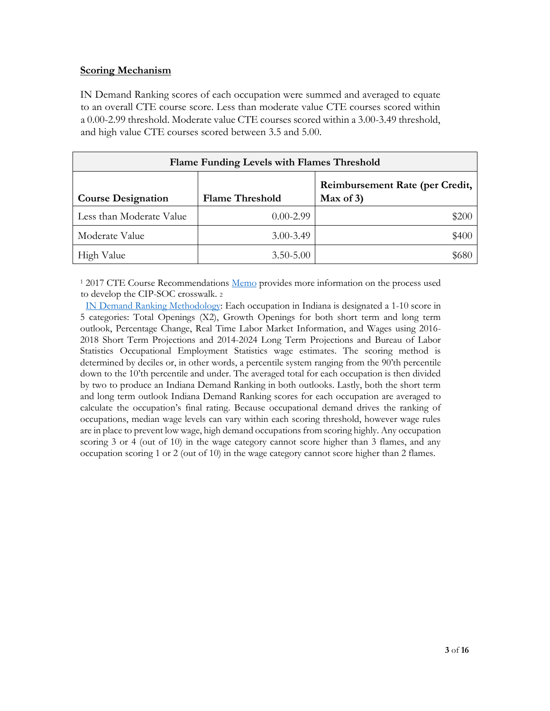#### **Scoring Mechanism**

IN Demand Ranking scores of each occupation were summed and averaged to equate to an overall CTE course score. Less than moderate value CTE courses scored within a 0.00-2.99 threshold. Moderate value CTE courses scored within a 3.00-3.49 threshold, and high value CTE courses scored between 3.5 and 5.00.

| Flame Funding Levels with Flames Threshold |                        |                                                 |  |  |  |
|--------------------------------------------|------------------------|-------------------------------------------------|--|--|--|
| <b>Course Designation</b>                  | <b>Flame Threshold</b> | Reimbursement Rate (per Credit,<br>Max of $3$ ) |  |  |  |
| Less than Moderate Value                   | $0.00 - 2.99$          | \$200                                           |  |  |  |
| Moderate Value                             | $3.00 - 3.49$          | \$400                                           |  |  |  |
| High Value                                 | $3.50 - 5.00$          | \$680                                           |  |  |  |

<sup>1</sup> 2017 CTE Course Recommendations <u>Memo</u> provides more information on the process used to develop the CIP-SOC crosswalk. <sup>2</sup>

[IN Demand Ranking](https://netsolutions.dwd.in.gov/new/INDemandMethodology.pdf) [Methodology:](https://netsolutions.dwd.in.gov/new/INDemandMethodology.pdf) Each occupation in Indiana is designated a 1-10 score in 5 categories: Total Openings (X2), Growth Openings for both short term and long term outlook, Percentage Change, Real Time Labor Market Information, and Wages using 2016- 2018 Short Term Projections and 2014-2024 Long Term Projections and Bureau of Labor Statistics Occupational Employment Statistics wage estimates. The scoring method is determined by deciles or, in other words, a percentile system ranging from the 90'th percentile down to the 10'th percentile and under. The averaged total for each occupation is then divided by two to produce an Indiana Demand Ranking in both outlooks. Lastly, both the short term and long term outlook Indiana Demand Ranking scores for each occupation are averaged to calculate the occupation's final rating. Because occupational demand drives the ranking of occupations, median wage levels can vary within each scoring threshold, however wage rules are in place to prevent low wage, high demand occupations from scoring highly. Any occupation scoring 3 or 4 (out of 10) in the wage category cannot score higher than 3 flames, and any occupation scoring 1 or 2 (out of 10) in the wage category cannot score higher than 2 flames.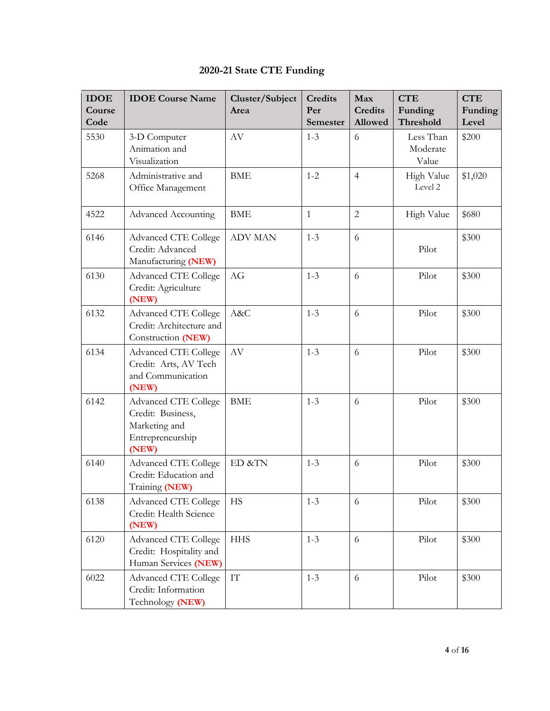| <b>IDOE</b><br>Course<br>Code | <b>IDOE</b> Course Name                                                                        | Cluster/Subject<br>Area | <b>Credits</b><br>Per<br>Semester | Max<br><b>Credits</b><br>Allowed | <b>CTE</b><br>Funding<br><b>Threshold</b> | <b>CTE</b><br>Funding<br>Level |
|-------------------------------|------------------------------------------------------------------------------------------------|-------------------------|-----------------------------------|----------------------------------|-------------------------------------------|--------------------------------|
| 5530                          | 3-D Computer<br>Animation and<br>Visualization                                                 | AV                      | $1 - 3$                           | 6                                | Less Than<br>Moderate<br>Value            | \$200                          |
| 5268                          | Administrative and<br>Office Management                                                        | <b>BME</b>              | $1 - 2$                           | $\overline{4}$                   | High Value<br>Level 2                     | \$1,020                        |
| 4522                          | <b>Advanced Accounting</b>                                                                     | <b>BME</b>              | $\mathbf{1}$                      | $\overline{2}$                   | High Value                                | \$680                          |
| 6146                          | <b>Advanced CTE College</b><br>Credit: Advanced<br>Manufacturing (NEW)                         | <b>ADV MAN</b>          | $1 - 3$                           | 6                                | Pilot                                     | \$300                          |
| 6130                          | <b>Advanced CTE College</b><br>Credit: Agriculture<br>(NEW)                                    | AG                      | $1 - 3$                           | 6                                | Pilot                                     | \$300                          |
| 6132                          | <b>Advanced CTE College</b><br>Credit: Architecture and<br>Construction (NEW)                  | A&C                     | $1 - 3$                           | 6                                | Pilot                                     | \$300                          |
| 6134                          | <b>Advanced CTE College</b><br>Credit: Arts, AV Tech<br>and Communication<br>(NEW)             | AV                      | $1 - 3$                           | 6                                | Pilot                                     | \$300                          |
| 6142                          | <b>Advanced CTE College</b><br>Credit: Business,<br>Marketing and<br>Entrepreneurship<br>(NEW) | <b>BME</b>              | $1 - 3$                           | 6                                | Pilot                                     | \$300                          |
| 6140                          | <b>Advanced CTE College</b><br>Credit: Education and<br>Training (NEW)                         | ED &TN                  | $1 - 3$                           | 6                                | Pilot                                     | \$300                          |
| 6138                          | <b>Advanced CTE College</b><br>Credit: Health Science<br>(NEW)                                 | <b>HS</b>               | $1 - 3$                           | 6                                | Pilot                                     | \$300                          |
| 6120                          | <b>Advanced CTE College</b><br>Credit: Hospitality and<br>Human Services (NEW)                 | <b>HHS</b>              | $1 - 3$                           | 6                                | Pilot                                     | \$300                          |
| 6022                          | <b>Advanced CTE College</b><br>Credit: Information<br>Technology (NEW)                         | ${\rm IT}$              | $1 - 3$                           | 6                                | Pilot                                     | \$300                          |

# **2020-21 State CTE Funding**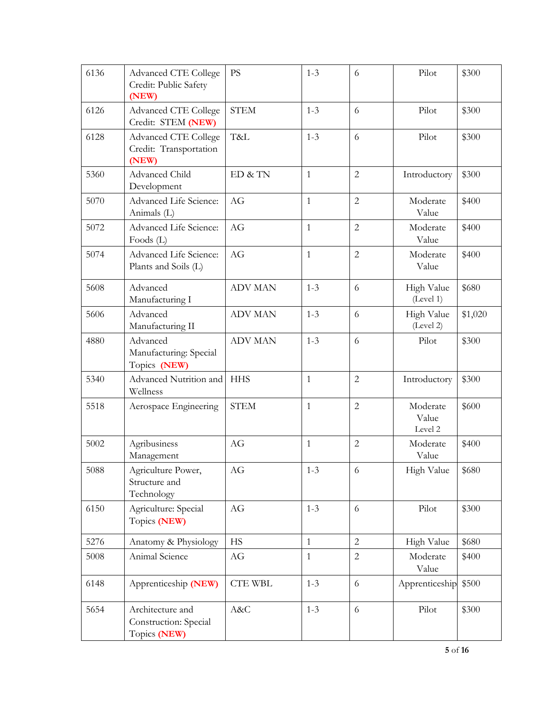| 6136 | <b>Advanced CTE College</b><br>Credit: Public Safety<br>(NEW)  | <b>PS</b>      | $1 - 3$      | 6              | Pilot                        | \$300   |
|------|----------------------------------------------------------------|----------------|--------------|----------------|------------------------------|---------|
| 6126 | <b>Advanced CTE College</b><br>Credit: STEM (NEW)              | <b>STEM</b>    | $1 - 3$      | 6              | Pilot                        | \$300   |
| 6128 | <b>Advanced CTE College</b><br>Credit: Transportation<br>(NEW) | T&L            | $1 - 3$      | 6              | Pilot                        | \$300   |
| 5360 | Advanced Child<br>Development                                  | ED & TN        | $\mathbf{1}$ | $\overline{2}$ | Introductory                 | \$300   |
| 5070 | Advanced Life Science:<br>Animals (L)                          | AG             | $\mathbf{1}$ | $\overline{2}$ | Moderate<br>Value            | \$400   |
| 5072 | Advanced Life Science:<br>Foods (L)                            | AG             | $\mathbf{1}$ | $\overline{c}$ | Moderate<br>Value            | \$400   |
| 5074 | Advanced Life Science:<br>Plants and Soils (L)                 | AG             | $\mathbf{1}$ | $\overline{2}$ | Moderate<br>Value            | \$400   |
| 5608 | Advanced<br>Manufacturing I                                    | <b>ADV MAN</b> | $1 - 3$      | 6              | High Value<br>(Level 1)      | \$680   |
| 5606 | Advanced<br>Manufacturing II                                   | <b>ADV MAN</b> | $1 - 3$      | 6              | High Value<br>(Level 2)      | \$1,020 |
| 4880 | Advanced<br>Manufacturing: Special<br>Topics (NEW)             | <b>ADV MAN</b> | $1 - 3$      | 6              | Pilot                        | \$300   |
| 5340 | Advanced Nutrition and<br>Wellness                             | <b>HHS</b>     | $\mathbf{1}$ | $\overline{2}$ | Introductory                 | \$300   |
| 5518 | Aerospace Engineering                                          | <b>STEM</b>    | $\mathbf{1}$ | $\overline{2}$ | Moderate<br>Value<br>Level 2 | \$600   |
| 5002 | Agribusiness<br>Management                                     | AG             | 1            | $\overline{2}$ | Moderate<br>Value            | \$400   |
| 5088 | Agriculture Power,<br>Structure and<br>Technology              | AG             | $1 - 3$      | 6              | High Value                   | \$680   |
| 6150 | Agriculture: Special<br>Topics (NEW)                           | AG             | $1 - 3$      | 6              | Pilot                        | \$300   |
| 5276 | Anatomy & Physiology                                           | <b>HS</b>      | $\mathbf{1}$ | $\overline{2}$ | High Value                   | \$680   |
| 5008 | Animal Science                                                 | AG             | $\mathbf{1}$ | $\overline{2}$ | Moderate<br>Value            | \$400   |
| 6148 | Apprenticeship (NEW)                                           | <b>CTE WBL</b> | $1 - 3$      | 6              | Apprenticeship               | \$500   |
| 5654 | Architecture and<br>Construction: Special<br>Topics (NEW)      | A&C            | $1 - 3$      | 6              | Pilot                        | \$300   |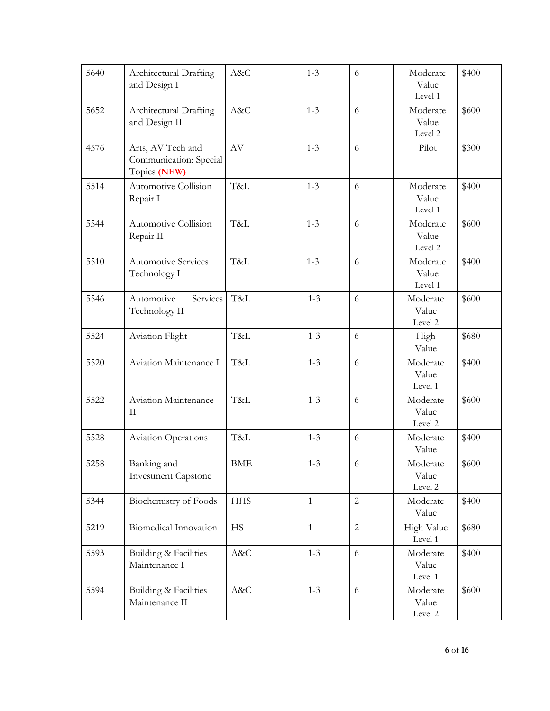| 5640 | Architectural Drafting<br>and Design I                      | A&C        | $1 - 3$      | 6              | Moderate<br>Value<br>Level 1 | \$400 |
|------|-------------------------------------------------------------|------------|--------------|----------------|------------------------------|-------|
| 5652 | Architectural Drafting<br>and Design II                     | A&C        | $1 - 3$      | 6              | Moderate<br>Value<br>Level 2 | \$600 |
| 4576 | Arts, AV Tech and<br>Communication: Special<br>Topics (NEW) | $\rm{AV}$  | $1 - 3$      | 6              | Pilot                        | \$300 |
| 5514 | Automotive Collision<br>Repair I                            | T&L        | $1 - 3$      | 6              | Moderate<br>Value<br>Level 1 | \$400 |
| 5544 | Automotive Collision<br>Repair II                           | T&L        | $1 - 3$      | 6              | Moderate<br>Value<br>Level 2 | \$600 |
| 5510 | <b>Automotive Services</b><br>Technology I                  | T&L        | $1 - 3$      | 6              | Moderate<br>Value<br>Level 1 | \$400 |
| 5546 | Services<br>Automotive<br>Technology II                     | T&L        | $1 - 3$      | 6              | Moderate<br>Value<br>Level 2 | \$600 |
| 5524 | <b>Aviation Flight</b>                                      | T&L        | $1 - 3$      | 6              | High<br>Value                | \$680 |
| 5520 | Aviation Maintenance I                                      | T&L        | $1 - 3$      | 6              | Moderate<br>Value<br>Level 1 | \$400 |
| 5522 | Aviation Maintenance<br>$\rm II$                            | T&L        | $1 - 3$      | 6              | Moderate<br>Value<br>Level 2 | \$600 |
| 5528 | Aviation Operations                                         | T&L        | $1 - 3$      | 6              | Moderate<br>Value            | \$400 |
| 5258 | Banking and<br><b>Investment Capstone</b>                   | <b>BME</b> | $1 - 3$      | 6              | Moderate<br>Value<br>Level 2 | \$600 |
| 5344 | Biochemistry of Foods                                       | <b>HHS</b> | $\mathbf{1}$ | $\overline{2}$ | Moderate<br>Value            | \$400 |
| 5219 | Biomedical Innovation                                       | <b>HS</b>  | $\mathbf{1}$ | $\overline{c}$ | High Value<br>Level 1        | \$680 |
| 5593 | Building & Facilities<br>Maintenance I                      | A&C        | $1 - 3$      | 6              | Moderate<br>Value<br>Level 1 | \$400 |
| 5594 | Building & Facilities<br>Maintenance II                     | A&C        | $1 - 3$      | 6              | Moderate<br>Value<br>Level 2 | \$600 |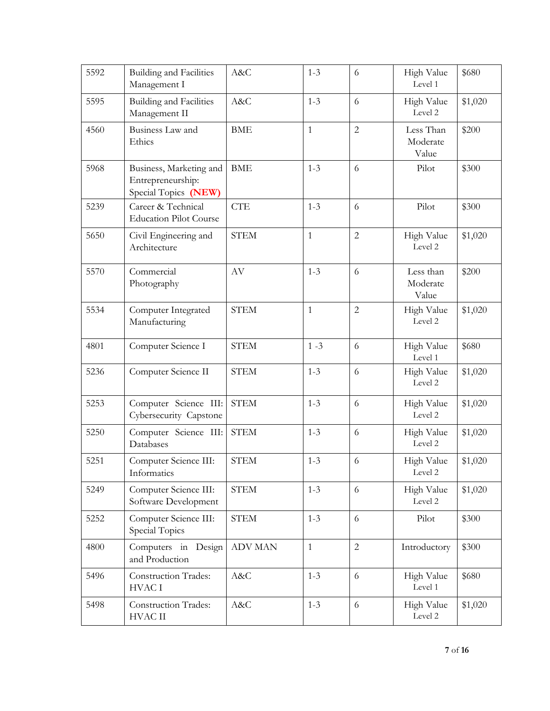| 5592 | Building and Facilities<br>Management I                              | A&C            | $1 - 3$      | 6              | High Value<br>Level 1          | \$680   |
|------|----------------------------------------------------------------------|----------------|--------------|----------------|--------------------------------|---------|
| 5595 | Building and Facilities<br>Management II                             | A&C            | $1 - 3$      | 6              | High Value<br>Level 2          | \$1,020 |
| 4560 | Business Law and<br>Ethics                                           | <b>BME</b>     | $\mathbf{1}$ | $\overline{2}$ | Less Than<br>Moderate<br>Value | \$200   |
| 5968 | Business, Marketing and<br>Entrepreneurship:<br>Special Topics (NEW) | <b>BME</b>     | $1 - 3$      | 6              | Pilot                          | \$300   |
| 5239 | Career & Technical<br><b>Education Pilot Course</b>                  | <b>CTE</b>     | $1 - 3$      | 6              | Pilot                          | \$300   |
| 5650 | Civil Engineering and<br>Architecture                                | <b>STEM</b>    | $\mathbf{1}$ | $\overline{2}$ | High Value<br>Level 2          | \$1,020 |
| 5570 | Commercial<br>Photography                                            | $\rm{AV}$      | $1 - 3$      | 6              | Less than<br>Moderate<br>Value | \$200   |
| 5534 | Computer Integrated<br>Manufacturing                                 | <b>STEM</b>    | $\mathbf{1}$ | $\overline{2}$ | High Value<br>Level 2          | \$1,020 |
| 4801 | Computer Science I                                                   | <b>STEM</b>    | $1 - 3$      | 6              | High Value<br>Level 1          | \$680   |
| 5236 | Computer Science II                                                  | <b>STEM</b>    | $1 - 3$      | 6              | High Value<br>Level 2          | \$1,020 |
| 5253 | Computer Science III:<br>Cybersecurity Capstone                      | <b>STEM</b>    | $1 - 3$      | 6              | High Value<br>Level 2          | \$1,020 |
| 5250 | Computer Science III:<br>Databases                                   | <b>STEM</b>    | $1 - 3$      | 6              | High Value<br>Level 2          | \$1,020 |
| 5251 | Computer Science III:<br>Informatics                                 | <b>STEM</b>    | $1 - 3$      | 6              | High Value<br>Level 2          | \$1,020 |
| 5249 | Computer Science III:<br>Software Development                        | <b>STEM</b>    | $1 - 3$      | 6              | High Value<br>Level 2          | \$1,020 |
| 5252 | Computer Science III:<br>Special Topics                              | <b>STEM</b>    | $1 - 3$      | 6              | Pilot                          | \$300   |
| 4800 | Computers in Design<br>and Production                                | <b>ADV MAN</b> | $\mathbf{1}$ | $\overline{2}$ | Introductory                   | \$300   |
| 5496 | Construction Trades:<br><b>HVACI</b>                                 | A&C            | $1 - 3$      | 6              | High Value<br>Level 1          | \$680   |
| 5498 | Construction Trades:<br><b>HVAC II</b>                               | A&C            | $1 - 3$      | 6              | High Value<br>Level 2          | \$1,020 |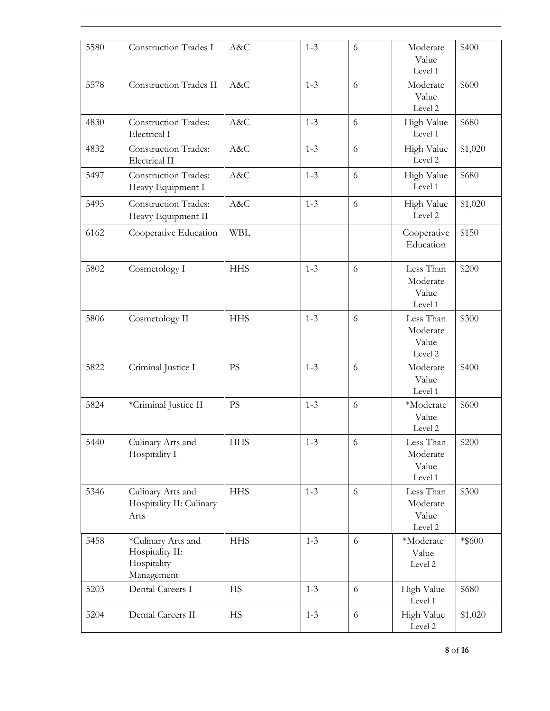| 5580 | Construction Trades I                                              | A&C        | $1 - 3$ | 6          | Moderate<br>Value<br>Level 1              | \$400     |
|------|--------------------------------------------------------------------|------------|---------|------------|-------------------------------------------|-----------|
| 5578 | Construction Trades II                                             | A&C        | $1 - 3$ | 6          | Moderate<br>Value<br>Level 2              | \$600     |
| 4830 | <b>Construction Trades:</b><br>Electrical I                        | A&C        | $1 - 3$ | 6          | High Value<br>Level 1                     | \$680     |
| 4832 | <b>Construction Trades:</b><br>Electrical II                       | A&C        | $1 - 3$ | 6          | High Value<br>Level 2                     | \$1,020   |
| 5497 | <b>Construction Trades:</b><br>Heavy Equipment I                   | A&C        | $1 - 3$ | 6          | High Value<br>Level 1                     | \$680     |
| 5495 | <b>Construction Trades:</b><br>Heavy Equipment II                  | A&C        | $1 - 3$ | 6          | High Value<br>Level 2                     | \$1,020   |
| 6162 | Cooperative Education                                              | <b>WBL</b> |         |            | Cooperative<br>Education                  | \$150     |
| 5802 | Cosmetology I                                                      | <b>HHS</b> | $1 - 3$ | 6          | Less Than<br>Moderate<br>Value<br>Level 1 | \$200     |
| 5806 | Cosmetology II                                                     | <b>HHS</b> | $1 - 3$ | 6          | Less Than<br>Moderate<br>Value<br>Level 2 | \$300     |
| 5822 | Criminal Justice I                                                 | <b>PS</b>  | $1 - 3$ | 6          | Moderate<br>Value<br>Level 1              | \$400     |
| 5824 | *Criminal Justice II                                               | <b>PS</b>  | $1 - 3$ | 6          | *Moderate<br>Value<br>Level 2             | \$600     |
| 5440 | Culinary Arts and<br>Hospitality I                                 | <b>HHS</b> | $1 - 3$ | 6          | Less Than<br>Moderate<br>Value<br>Level 1 | \$200     |
| 5346 | Culinary Arts and<br>Hospitality II: Culinary<br>Arts              | <b>HHS</b> | $1 - 3$ | 6          | Less Than<br>Moderate<br>Value<br>Level 2 | \$300     |
| 5458 | *Culinary Arts and<br>Hospitality II:<br>Hospitality<br>Management | <b>HHS</b> | $1 - 3$ | 6          | *Moderate<br>Value<br>Level 2             | $*$ \$600 |
| 5203 | Dental Careers I                                                   | <b>HS</b>  | $1 - 3$ | 6          | High Value<br>Level 1                     | \$680     |
| 5204 | Dental Careers II                                                  | <b>HS</b>  | $1 - 3$ | $\sqrt{6}$ | High Value<br>Level 2                     | \$1,020   |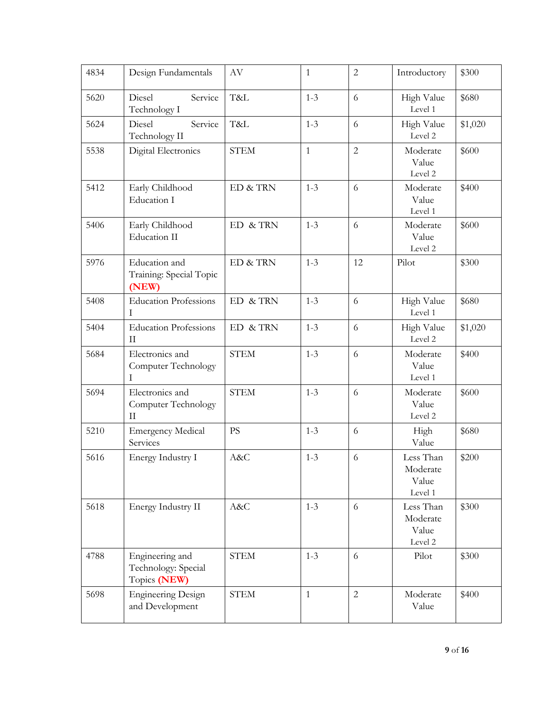| 4834 | Design Fundamentals                                    | $\rm{AV}$   | $\mathbf{1}$ | $\overline{2}$ | Introductory                              | \$300   |
|------|--------------------------------------------------------|-------------|--------------|----------------|-------------------------------------------|---------|
| 5620 | Diesel<br>Service<br>Technology I                      | T&L         | $1 - 3$      | 6              | High Value<br>Level 1                     | \$680   |
| 5624 | Diesel<br>Service<br>Technology II                     | T&L         | $1 - 3$      | 6              | High Value<br>Level 2                     | \$1,020 |
| 5538 | Digital Electronics                                    | <b>STEM</b> | $\mathbf{1}$ | $\overline{2}$ | Moderate<br>Value<br>Level 2              | \$600   |
| 5412 | Early Childhood<br>Education I                         | ED & TRN    | $1 - 3$      | 6              | Moderate<br>Value<br>Level 1              | \$400   |
| 5406 | Early Childhood<br><b>Education II</b>                 | ED & TRN    | $1 - 3$      | 6              | Moderate<br>Value<br>Level 2              | \$600   |
| 5976 | Education and<br>Training: Special Topic<br>(NEW)      | ED & TRN    | $1 - 3$      | 12             | Pilot                                     | \$300   |
| 5408 | <b>Education Professions</b><br>T                      | ED & TRN    | $1 - 3$      | 6              | High Value<br>Level 1                     | \$680   |
| 5404 | <b>Education Professions</b><br>$\rm II$               | ED & TRN    | $1 - 3$      | 6              | High Value<br>Level 2                     | \$1,020 |
| 5684 | Electronics and<br>Computer Technology<br>Ι            | <b>STEM</b> | $1 - 3$      | 6              | Moderate<br>Value<br>Level 1              | \$400   |
| 5694 | Electronics and<br>Computer Technology<br>$\rm II$     | <b>STEM</b> | $1 - 3$      | 6              | Moderate<br>Value<br>Level 2              | \$600   |
| 5210 | <b>Emergency Medical</b><br>Services                   | <b>PS</b>   | $1 - 3$      | 6              | High<br>Value                             | \$680   |
| 5616 | Energy Industry I                                      | A&C         | $1 - 3$      | 6              | Less Than<br>Moderate<br>Value<br>Level 1 | \$200   |
| 5618 | Energy Industry II                                     | A&C         | $1 - 3$      | 6              | Less Than<br>Moderate<br>Value<br>Level 2 | \$300   |
| 4788 | Engineering and<br>Technology: Special<br>Topics (NEW) | <b>STEM</b> | $1 - 3$      | 6              | Pilot                                     | \$300   |
| 5698 | <b>Engineering Design</b><br>and Development           | <b>STEM</b> | $\mathbf{1}$ | $\sqrt{2}$     | Moderate<br>Value                         | \$400   |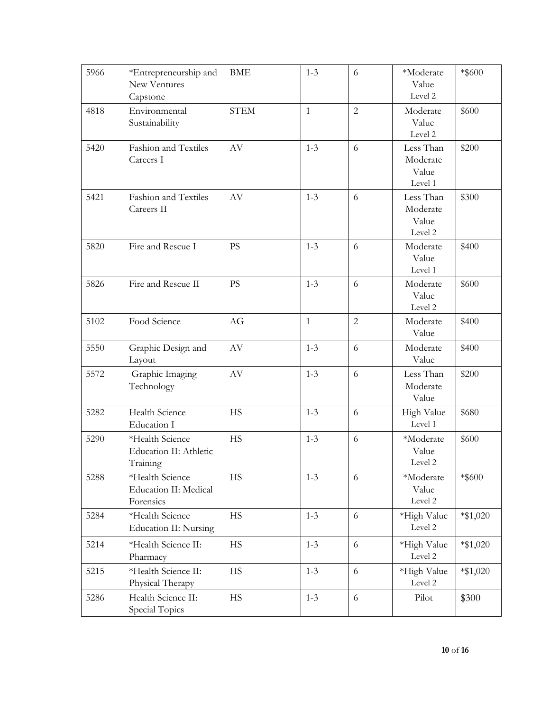| 5966 | *Entrepreneurship and<br>New Ventures<br>Capstone     | <b>BME</b>  | $1 - 3$      | 6              | *Moderate<br>Value<br>Level 2             | $*$ \$600   |
|------|-------------------------------------------------------|-------------|--------------|----------------|-------------------------------------------|-------------|
| 4818 | Environmental<br>Sustainability                       | <b>STEM</b> | $\mathbf{1}$ | $\overline{2}$ | Moderate<br>Value<br>Level 2              | \$600       |
| 5420 | Fashion and Textiles<br>Careers I                     | AV          | $1 - 3$      | 6              | Less Than<br>Moderate<br>Value<br>Level 1 | \$200       |
| 5421 | Fashion and Textiles<br>Careers II                    | AV          | $1 - 3$      | 6              | Less Than<br>Moderate<br>Value<br>Level 2 | \$300       |
| 5820 | Fire and Rescue I                                     | <b>PS</b>   | $1 - 3$      | 6              | Moderate<br>Value<br>Level 1              | \$400       |
| 5826 | Fire and Rescue II                                    | PS          | $1 - 3$      | 6              | Moderate<br>Value<br>Level 2              | \$600       |
| 5102 | Food Science                                          | AG          | $\mathbf{1}$ | $\overline{2}$ | Moderate<br>Value                         | \$400       |
| 5550 | Graphic Design and<br>Layout                          | $\rm{AV}$   | $1 - 3$      | 6              | Moderate<br>Value                         | \$400       |
| 5572 | Graphic Imaging<br>Technology                         | AV          | $1 - 3$      | 6              | Less Than<br>Moderate<br>Value            | \$200       |
| 5282 | Health Science<br>Education I                         | <b>HS</b>   | $1 - 3$      | 6              | High Value<br>Level 1                     | \$680       |
| 5290 | *Health Science<br>Education II: Athletic<br>Training | <b>HS</b>   | $1 - 3$      | 6              | *Moderate<br>Value<br>Level 2             | \$600       |
| 5288 | *Health Science<br>Education II: Medical<br>Forensics | HS          | $1 - 3$      | 6              | *Moderate<br>Value<br>Level 2             | $*$ \$600   |
| 5284 | *Health Science<br><b>Education II: Nursing</b>       | <b>HS</b>   | $1 - 3$      | 6              | *High Value<br>Level 2                    | $*$ \$1,020 |
| 5214 | *Health Science II:<br>Pharmacy                       | <b>HS</b>   | $1 - 3$      | 6              | *High Value<br>Level 2                    | $*$ \$1,020 |
| 5215 | *Health Science II:<br>Physical Therapy               | <b>HS</b>   | $1 - 3$      | 6              | *High Value<br>Level 2                    | $*\$1,020$  |
| 5286 | Health Science II:<br>Special Topics                  | <b>HS</b>   | $1 - 3$      | $\sqrt{6}$     | Pilot                                     | \$300       |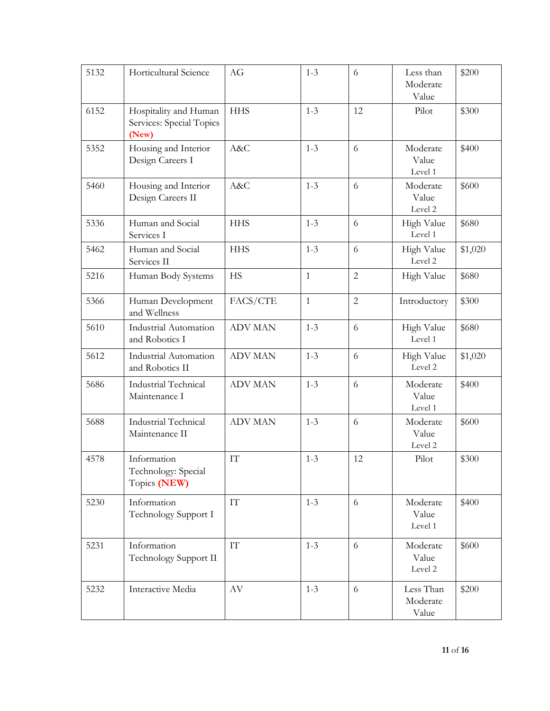| 5132 | Horticultural Science                                      | AG                       | $1 - 3$      | 6              | Less than<br>Moderate<br>Value | \$200   |
|------|------------------------------------------------------------|--------------------------|--------------|----------------|--------------------------------|---------|
| 6152 | Hospitality and Human<br>Services: Special Topics<br>(New) | <b>HHS</b>               | $1 - 3$      | 12             | Pilot                          | \$300   |
| 5352 | Housing and Interior<br>Design Careers I                   | A&C                      | $1 - 3$      | 6              | Moderate<br>Value<br>Level 1   | \$400   |
| 5460 | Housing and Interior<br>Design Careers II                  | A&C                      | $1 - 3$      | 6              | Moderate<br>Value<br>Level 2   | \$600   |
| 5336 | Human and Social<br>Services I                             | <b>HHS</b>               | $1 - 3$      | 6              | High Value<br>Level 1          | \$680   |
| 5462 | Human and Social<br>Services II                            | <b>HHS</b>               | $1 - 3$      | 6              | High Value<br>Level 2          | \$1,020 |
| 5216 | Human Body Systems                                         | <b>HS</b>                | $\mathbf{1}$ | $\overline{c}$ | High Value                     | \$680   |
| 5366 | Human Development<br>and Wellness                          | FACS/CTE                 | $\mathbf{1}$ | $\overline{2}$ | Introductory                   | \$300   |
| 5610 | <b>Industrial Automation</b><br>and Robotics I             | <b>ADV MAN</b>           | $1 - 3$      | 6              | High Value<br>Level 1          | \$680   |
| 5612 | <b>Industrial Automation</b><br>and Robotics II            | <b>ADV MAN</b>           | $1 - 3$      | 6              | High Value<br>Level 2          | \$1,020 |
| 5686 | Industrial Technical<br>Maintenance I                      | <b>ADV MAN</b>           | $1 - 3$      | 6              | Moderate<br>Value<br>Level 1   | \$400   |
| 5688 | <b>Industrial Technical</b><br>Maintenance II              | <b>ADV MAN</b>           | $1 - 3$      | 6              | Moderate<br>Value<br>Level 2   | \$600   |
| 4578 | Information<br>Technology: Special<br>Topics (NEW)         | $\mathcal{I}\mathcal{T}$ | $1 - 3$      | 12             | Pilot                          | \$300   |
| 5230 | Information<br>Technology Support I                        | $\mathbf{I}\mathbf{T}$   | $1 - 3$      | 6              | Moderate<br>Value<br>Level 1   | \$400   |
| 5231 | Information<br>Technology Support II                       | ${\rm IT}$               | $1 - 3$      | 6              | Moderate<br>Value<br>Level 2   | \$600   |
| 5232 | Interactive Media                                          | $\rm{AV}$                | $1 - 3$      | 6              | Less Than<br>Moderate<br>Value | \$200   |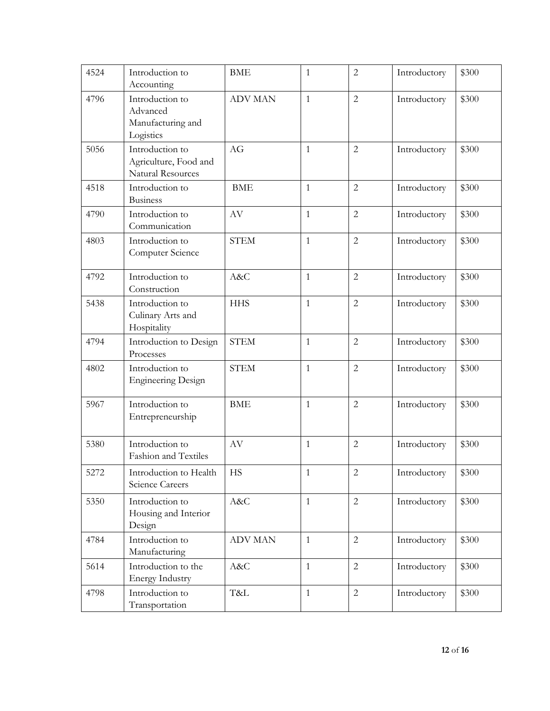| 4524 | Introduction to<br>Accounting                                        | <b>BME</b>     | $\mathbf{1}$ | $\overline{c}$ | Introductory | \$300 |
|------|----------------------------------------------------------------------|----------------|--------------|----------------|--------------|-------|
| 4796 | Introduction to<br>Advanced<br>Manufacturing and<br>Logistics        | <b>ADV MAN</b> | $\mathbf{1}$ | $\overline{2}$ | Introductory | \$300 |
| 5056 | Introduction to<br>Agriculture, Food and<br><b>Natural Resources</b> | AG             | $\mathbf{1}$ | $\overline{c}$ | Introductory | \$300 |
| 4518 | Introduction to<br><b>Business</b>                                   | <b>BME</b>     | $\mathbf{1}$ | $\overline{2}$ | Introductory | \$300 |
| 4790 | Introduction to<br>Communication                                     | AV             | $\mathbf{1}$ | $\overline{2}$ | Introductory | \$300 |
| 4803 | Introduction to<br>Computer Science                                  | <b>STEM</b>    | $\mathbf{1}$ | $\overline{2}$ | Introductory | \$300 |
| 4792 | Introduction to<br>Construction                                      | A&C            | $\mathbf{1}$ | $\overline{2}$ | Introductory | \$300 |
| 5438 | Introduction to<br>Culinary Arts and<br>Hospitality                  | <b>HHS</b>     | $\mathbf{1}$ | $\overline{2}$ | Introductory | \$300 |
| 4794 | Introduction to Design<br>Processes                                  | <b>STEM</b>    | $\mathbf{1}$ | $\overline{2}$ | Introductory | \$300 |
| 4802 | Introduction to<br><b>Engineering Design</b>                         | <b>STEM</b>    | $\mathbf{1}$ | $\overline{2}$ | Introductory | \$300 |
| 5967 | Introduction to<br>Entrepreneurship                                  | <b>BME</b>     | $\mathbf{1}$ | $\overline{2}$ | Introductory | \$300 |
| 5380 | Introduction to<br>Fashion and Textiles                              | AV             | $\mathbf{1}$ | $\overline{2}$ | Introductory | \$300 |
| 5272 | Introduction to Health<br>Science Careers                            | HS             | 1            | $\mathbf 2$    | Introductory | \$300 |
| 5350 | Introduction to<br>Housing and Interior<br>Design                    | A&C            | $\mathbf{1}$ | $\overline{2}$ | Introductory | \$300 |
| 4784 | Introduction to<br>Manufacturing                                     | <b>ADV MAN</b> | $\mathbf{1}$ | $\overline{2}$ | Introductory | \$300 |
| 5614 | Introduction to the<br><b>Energy Industry</b>                        | A&C            | $\mathbf{1}$ | $\overline{2}$ | Introductory | \$300 |
| 4798 | Introduction to<br>Transportation                                    | T&L            | $\mathbf{1}$ | $\overline{2}$ | Introductory | \$300 |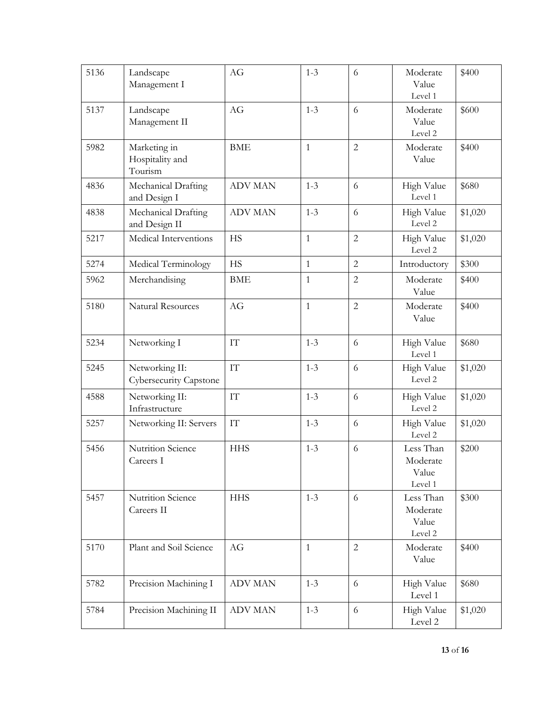| 5136 | Landscape<br>Management I                  | AG                       | $1 - 3$      | 6              | Moderate<br>Value<br>Level 1              | \$400   |
|------|--------------------------------------------|--------------------------|--------------|----------------|-------------------------------------------|---------|
| 5137 | Landscape<br>Management II                 | AG                       | $1 - 3$      | 6              | Moderate<br>Value<br>Level 2              | \$600   |
| 5982 | Marketing in<br>Hospitality and<br>Tourism | <b>BME</b>               | $\mathbf{1}$ | $\overline{2}$ | Moderate<br>Value                         | \$400   |
| 4836 | Mechanical Drafting<br>and Design I        | <b>ADV MAN</b>           | $1 - 3$      | 6              | High Value<br>Level 1                     | \$680   |
| 4838 | Mechanical Drafting<br>and Design II       | <b>ADV MAN</b>           | $1 - 3$      | 6              | High Value<br>Level 2                     | \$1,020 |
| 5217 | Medical Interventions                      | <b>HS</b>                | $\mathbf{1}$ | $\overline{2}$ | High Value<br>Level 2                     | \$1,020 |
| 5274 | Medical Terminology                        | <b>HS</b>                | $\mathbf{1}$ | $\overline{2}$ | Introductory                              | \$300   |
| 5962 | Merchandising                              | <b>BME</b>               | $\mathbf{1}$ | $\mathbf{2}$   | Moderate<br>Value                         | \$400   |
| 5180 | <b>Natural Resources</b>                   | AG                       | $\mathbf{1}$ | $\overline{2}$ | Moderate<br>Value                         | \$400   |
| 5234 | Networking I                               | $\mathcal{I}\mathcal{T}$ | $1 - 3$      | 6              | High Value<br>Level 1                     | \$680   |
| 5245 | Networking II:<br>Cybersecurity Capstone   | $\mathcal{I}\mathcal{T}$ | $1 - 3$      | 6              | High Value<br>Level 2                     | \$1,020 |
| 4588 | Networking II:<br>Infrastructure           | $\mathop{\text{IT}}$     | $1 - 3$      | 6              | High Value<br>Level 2                     | \$1,020 |
| 5257 | Networking II: Servers                     | $\mathcal{I}\mathcal{T}$ | $1 - 3$      | 6              | High Value<br>Level 2                     | \$1,020 |
| 5456 | Nutrition Science<br>Careers I             | <b>HHS</b>               | $1 - 3$      | 6              | Less Than<br>Moderate<br>Value<br>Level 1 | \$200   |
| 5457 | Nutrition Science<br>Careers II            | <b>HHS</b>               | $1 - 3$      | 6              | Less Than<br>Moderate<br>Value<br>Level 2 | \$300   |
| 5170 | Plant and Soil Science                     | AG                       | $\mathbf{1}$ | $\overline{2}$ | Moderate<br>Value                         | \$400   |
| 5782 | Precision Machining I                      | <b>ADV MAN</b>           | $1 - 3$      | 6              | High Value<br>Level 1                     | \$680   |
| 5784 | Precision Machining II                     | <b>ADV MAN</b>           | $1 - 3$      | 6              | High Value<br>Level 2                     | \$1,020 |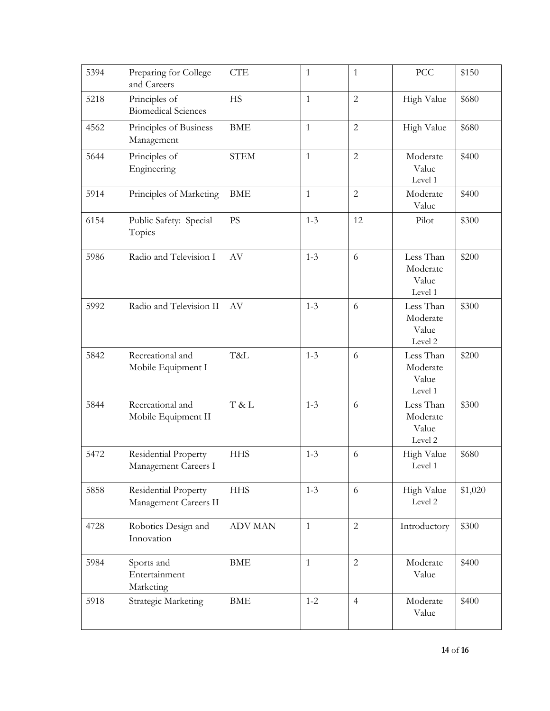| 5394 | Preparing for College<br>and Careers          | <b>CTE</b>     | $\mathbf{1}$ | $\mathbf{1}$   | PCC                                       | \$150   |
|------|-----------------------------------------------|----------------|--------------|----------------|-------------------------------------------|---------|
| 5218 | Principles of<br><b>Biomedical Sciences</b>   | <b>HS</b>      | $\mathbf{1}$ | $\overline{2}$ | High Value                                | \$680   |
| 4562 | Principles of Business<br>Management          | <b>BME</b>     | $\mathbf{1}$ | $\overline{2}$ | High Value                                | \$680   |
| 5644 | Principles of<br>Engineering                  | <b>STEM</b>    | $\mathbf{1}$ | $\overline{2}$ | Moderate<br>Value<br>Level 1              | \$400   |
| 5914 | Principles of Marketing                       | <b>BME</b>     | $\mathbf{1}$ | $\overline{c}$ | Moderate<br>Value                         | \$400   |
| 6154 | Public Safety: Special<br>Topics              | <b>PS</b>      | $1 - 3$      | 12             | Pilot                                     | \$300   |
| 5986 | Radio and Television I                        | AV             | $1 - 3$      | 6              | Less Than<br>Moderate<br>Value<br>Level 1 | \$200   |
| 5992 | Radio and Television II                       | AV             | $1 - 3$      | 6              | Less Than<br>Moderate<br>Value<br>Level 2 | \$300   |
| 5842 | Recreational and<br>Mobile Equipment I        | T&L            | $1 - 3$      | 6              | Less Than<br>Moderate<br>Value<br>Level 1 | \$200   |
| 5844 | Recreational and<br>Mobile Equipment II       | T & L          | $1 - 3$      | 6              | Less Than<br>Moderate<br>Value<br>Level 2 | \$300   |
| 5472 | Residential Property<br>Management Careers I  | <b>HHS</b>     | $1 - 3$      | 6              | High Value<br>Level 1                     | \$680   |
| 5858 | Residential Property<br>Management Careers II | <b>HHS</b>     | $1 - 3$      | 6              | High Value<br>Level 2                     | \$1,020 |
| 4728 | Robotics Design and<br>Innovation             | <b>ADV MAN</b> | $\mathbf{1}$ | $\mathbf{2}$   | Introductory                              | \$300   |
| 5984 | Sports and<br>Entertainment<br>Marketing      | <b>BME</b>     | $\mathbf{1}$ | $\overline{2}$ | Moderate<br>Value                         | \$400   |
| 5918 | <b>Strategic Marketing</b>                    | <b>BME</b>     | $1 - 2$      | $\overline{4}$ | Moderate<br>Value                         | \$400   |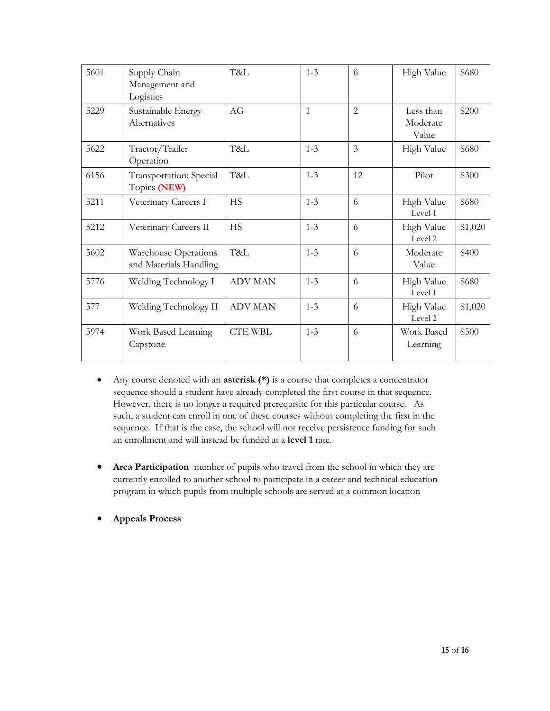| 5601 | Supply Chain<br>Management and<br>Logistics    | T&L            | $1 - 3$      | 6              | High Value                     | \$680   |
|------|------------------------------------------------|----------------|--------------|----------------|--------------------------------|---------|
| 5229 | Sustainable Energy<br>Alternatives             | AG             | $\mathbf{1}$ | $\overline{2}$ | Less than<br>Moderate<br>Value | \$200   |
| 5622 | Tractor/Trailer<br>Operation                   | T&L            | $1 - 3$      | $\mathfrak{Z}$ | High Value                     | \$680   |
| 6156 | Transportation: Special<br>Topics (NEW)        | T&L            | $1 - 3$      | 12             | Pilot                          | \$300   |
| 5211 | Veterinary Careers I                           | <b>HS</b>      | $1 - 3$      | 6              | High Value<br>Level 1          | \$680   |
| 5212 | Veterinary Careers II                          | <b>HS</b>      | $1 - 3$      | 6              | High Value<br>Level 2          | \$1,020 |
| 5602 | Warehouse Operations<br>and Materials Handling | T&L            | $1 - 3$      | 6              | Moderate<br>Value              | \$400   |
| 5776 | Welding Technology I                           | <b>ADV MAN</b> | $1 - 3$      | 6              | High Value<br>Level 1          | \$680   |
| 577  | Welding Technology II                          | <b>ADV MAN</b> | $1 - 3$      | 6              | High Value<br>Level 2          | \$1,020 |
| 5974 | Work Based Learning<br>Capstone                | <b>CTE WBL</b> | $1 - 3$      | 6              | Work Based<br>Learning         | \$500   |

- Any course denoted with an **asterisk (\*)** is a course that completes a concentrator sequence should a student have already completed the first course in that sequence. However, there is no longer a required prerequisite for this particular course. As such, a student can enroll in one of these courses without completing the first in the sequence. If that is the case, the school will not receive persistence funding for such an enrollment and will instead be funded at a **level 1** rate.
- **Area Participation** -number of pupils who travel from the school in which they are currently enrolled to another school to participate in a career and technical education program in which pupils from multiple schools are served at a common location
- **Appeals Process**